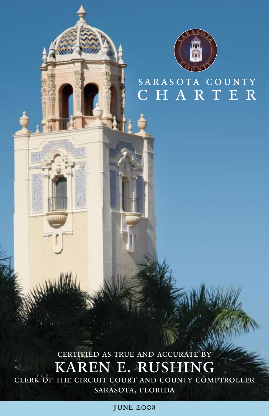

# sarasota county C H A R T E R

# certified as true and accurate by karen e. rushing

clerk of the circuit court and county comptroller SARASOTA, FLORIDA

june 2008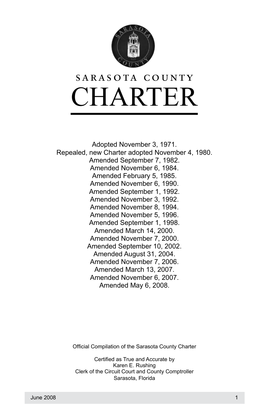

# CHARTER sarasota county

Adopted November 3, 1971. Repealed, new Charter adopted November 4, 1980. Amended September 7, 1982. Amended November 6, 1984. Amended February 5, 1985. Amended November 6, 1990. Amended September 1, 1992. Amended November 3, 1992. Amended November 8, 1994. Amended November 5, 1996. Amended September 1, 1998. Amended March 14, 2000. Amended November 7, 2000. Amended September 10, 2002. Amended August 31, 2004. Amended November 7, 2006. Amended March 13, 2007. Amended November 6, 2007. Amended May 6, 2008.

Official Compilation of the Sarasota County Charter

Certified as True and Accurate by Karen E. Rushing Clerk of the Circuit Court and County Comptroller Sarasota, Florida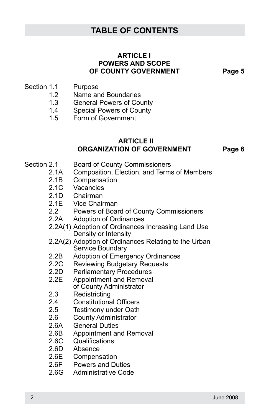## **TABLE OF CONTENTS**

#### **ARTICLE**<sub>I</sub> **POWERS AND SCOPE OF COUNTY GOVERNMENT Page 5**

- Section 1.1 Purpose
	- 1.2 Name and Boundaries
	- 1.3 General Powers of County
	- 1.4 Special Powers of County
	- 1.5 Form of Government

#### **ARTICLE** II **ORGANIZATION OF GOVERNMENT Page 6**

- Section 2.1 Board of County Commissioners
	- 2.1A Composition, Election, and Terms of Members
	- 2.1B Compensation
	- 2.1C Vacancies
	- 2.1D Chairman
	- 2.1E Vice Chairman
	- 2.2 Powers of Board of County Commissioners
	- 2.2A Adoption of Ordinances
	- 2.2A(1) Adoption of Ordinances Increasing Land Use Density or Intensity
	- 2.2A(2) Adoption of Ordinances Relating to the Urban Service Boundary
	- 2.2B Adoption of Emergency Ordinances
	- 2.2C Reviewing Budgetary Requests
	- 2.2D Parliamentary Procedures
	- 2.2E Appointment and Removal of County Administrator
	- 2.3 Redistricting
	- 2.4 Constitutional Officers
	- 2.5 Testimony under Oath
	- 2.6 County Administrator
	- 2.6A General Duties
	- 2.6B Appointment and Removal
	- 2.6C Qualifications
	- 2.6D Absence
	- 2.6E Compensation
	- 2.6F Powers and Duties
	- 2.6G Administrative Code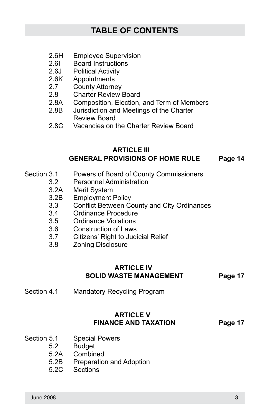- 2.6H Employee Supervision
- 2.6I Board Instructions
- 2.6J Political Activity
- 2.6K Appointments
- 2.7 County Attorney
- 2.8 Charter Review Board
- 2.8A Composition, Election, and Term of Members
- 2.8B Jurisdiction and Meetings of the Charter Review Board
- 2.8C Vacancies on the Charter Review Board

#### **ARTICLE** III **GENERAL PROVISIONS OF HOME RULE Page 14**

- Section 3.1 Powers of Board of County Commissioners
	- 3.2 Personnel Administration
	- 3.2A Merit System
	- 3.2B Employment Policy
	- 3.3 Conflict Between County and City Ordinances
	- 3.4 Ordinance Procedure
	- 3.5 Ordinance Violations
	- 3.6 Construction of Laws
	- 3.7 Citizens' Right to Judicial Relief
	- 3.8 Zoning Disclosure

#### **ARTICLE IV SOLID WASTE MANAGEMENT Page 17**

Section 4.1 Mandatory Recycling Program

#### **ARTICLE V FINANCE AND TAXATION Page 17**

- Section 5.1 Special Powers
	- 5.2 Budget
	- 5.2A Combined
	- 5.2B Preparation and Adoption
	- 5.2C Sections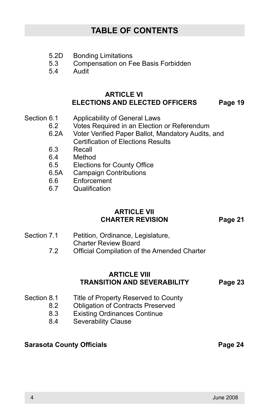# **TABLE OF CONTENTS**

- 5.2D Bonding Limitations
- 5.3 Compensation on Fee Basis Forbidden
- 5.4 Audit

#### **ARTICLE VI ELECTIONS AND ELECTED OFFICERS Page 19**

- Section 6.1 Applicability of General Laws
	- 6.2 Votes Required in an Election or Referendum
	- 6.2A Voter Verified Paper Ballot, Mandatory Audits, and Certification of Elections Results
	- 6.3 Recall<br>6.4 Methor
	- Method
	- 6.5 Elections for County Office
	- 6.5A Campaign Contributions
	- 6.6 Enforcement
	- 6.7 Qualification

#### **ARTICLE VII CHARTER REVISION Page 21**

- Section 7.1 Petition, Ordinance, Legislature, Charter Review Board
	- 7.2 Official Compilation of the Amended Charter

#### **ARTICLE VIII TRANSITION AND SEVERABILITY Page 23**

- Section 8.1 Title of Property Reserved to County
	- 8.2 Obligation of Contracts Preserved
	- 8.3 Existing Ordinances Continue
	- 8.4 Severability Clause

#### **Sarasota County Officials Access Page 24 Sarasota County Officials**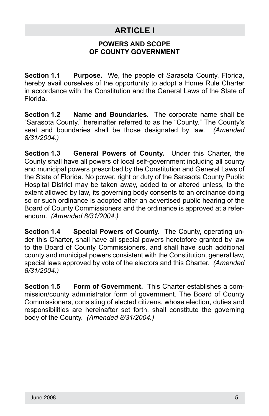# **ARTICLE I**

#### **POWERS AND SCOPE OF COUNTY GOVERNMENT**

**Section 1.1 Purpose.** We, the people of Sarasota County, Florida, hereby avail ourselves of the opportunity to adopt a Home Rule Charter in accordance with the Constitution and the General Laws of the State of Florida.

**Section 1.2 Name and Boundaries.** The corporate name shall be "Sarasota County," hereinafter referred to as the "County." The County's seat and boundaries shall be those designated by law. *(Amended 8/31/2004.)*

**Section 1.3 General Powers of County.** Under this Charter, the County shall have all powers of local self-government including all county and municipal powers prescribed by the Constitution and General Laws of the State of Florida. No power, right or duty of the Sarasota County Public Hospital District may be taken away, added to or altered unless, to the extent allowed by law, its governing body consents to an ordinance doing so or such ordinance is adopted after an advertised public hearing of the Board of County Commissioners and the ordinance is approved at a referendum. *(Amended 8/31/2004.)*

**Section 1.4 Special Powers of County.** The County, operating under this Charter, shall have all special powers heretofore granted by law to the Board of County Commissioners, and shall have such additional county and municipal powers consistent with the Constitution, general law, special laws approved by vote of the electors and this Charter. *(Amended 8/31/2004.)*

**Section 1.5 Form of Government.** This Charter establishes a commission/county administrator form of government. The Board of County Commissioners, consisting of elected citizens, whose election, duties and responsibilities are hereinafter set forth, shall constitute the governing body of the County. *(Amended 8/31/2004.)*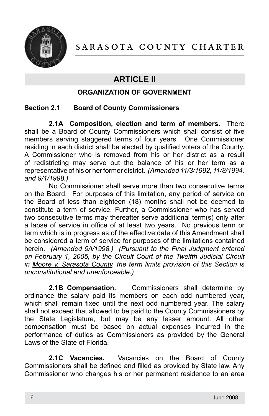

# **ARTICLE II**

#### **ORGANIZATION OF GOVERNMENT**

#### **Section 2.1 Board of County Commissioners**

**2.1A Composition, election and term of members.** There shall be a Board of County Commissioners which shall consist of five members serving staggered terms of four years. One Commissioner residing in each district shall be elected by qualified voters of the County. A Commissioner who is removed from his or her district as a result of redistricting may serve out the balance of his or her term as a representative of his or her former district. *(Amended 11/3/1992, 11/8/1994, and 9/1/1998.)*

No Commissioner shall serve more than two consecutive terms on the Board. For purposes of this limitation, any period of service on the Board of less than eighteen (18) months shall not be deemed to constitute a term of service. Further, a Commissioner who has served two consecutive terms may thereafter serve additional term(s) only after a lapse of service in office of at least two years. No previous term or term which is in progress as of the effective date of this Amendment shall be considered a term of service for purposes of the limitations contained herein. *(Amended 9/I/1998.) (Pursuant to the Final Judgment entered on February 1, 2005, by the Circuit Court of the Twelfth Judicial Circuit in Moore v. Sarasota County, the term limits provision of this Section is unconstitutional and unenforceable.)*

**2.1B Compensation.** Commissioners shall determine by ordinance the salary paid its members on each odd numbered year, which shall remain fixed until the next odd numbered year. The salary shall not exceed that allowed to be paid to the County Commissioners by the State Legislature, but may be any lesser amount. All other compensation must be based on actual expenses incurred in the performance of duties as Commissioners as provided by the General Laws of the State of Florida.

**2.1C Vacancies.** Vacancies on the Board of County Commissioners shall be defined and filled as provided by State law. Any Commissioner who changes his or her permanent residence to an area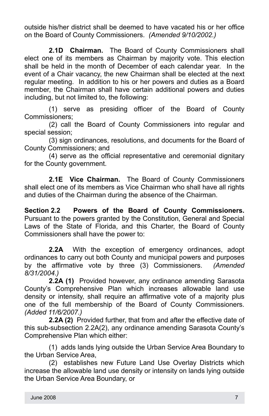outside his/her district shall be deemed to have vacated his or her office on the Board of County Commissioners. *(Amended 9/10/2002.)*

**2.1D Chairman.** The Board of County Commissioners shall elect one of its members as Chairman by majority vote. This election shall be held in the month of December of each calendar year. In the event of a Chair vacancy, the new Chairman shall be elected at the next regular meeting. In addition to his or her powers and duties as a Board member, the Chairman shall have certain additional powers and duties including, but not limited to, the following:

(1) serve as presiding officer of the Board of County Commissioners;

(2) call the Board of County Commissioners into regular and special session;

(3) sign ordinances, resolutions, and documents for the Board of County Commissioners; and

(4) serve as the official representative and ceremonial dignitary for the County government.

**2.1E Vice Chairman.** The Board of County Commissioners shall elect one of its members as Vice Chairman who shall have all rights and duties of the Chairman during the absence of the Chairman.

**Section 2.2 Powers of the Board of County Commissioners.**  Pursuant to the powers granted by the Constitution, General and Special Laws of the State of Florida, and this Charter, the Board of County Commissioners shall have the power to:

**2.2A** With the exception of emergency ordinances, adopt ordinances to carry out both County and municipal powers and purposes by the affirmative vote by three (3) Commissioners. *(Amended 8/31/2004.)*

**2.2A (1)** Provided however, any ordinance amending Sarasota County's Comprehensive Plan which increases allowable land use density or intensity, shall require an affirmative vote of a majority plus one of the full membership of the Board of County Commissioners. *(Added 11/6/2007.)*

**2.2A (2)** Provided further, that from and after the effective date of this sub-subsection 2.2A(2), any ordinance amending Sarasota County's Comprehensive Plan which either:

(1) adds lands lying outside the Urban Service Area Boundary to the Urban Service Area,

(2) establishes new Future Land Use Overlay Districts which increase the allowable land use density or intensity on lands lying outside the Urban Service Area Boundary, or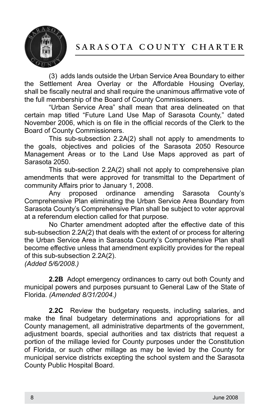

(3) adds lands outside the Urban Service Area Boundary to either the Settlement Area Overlay or the Affordable Housing Overlay, shall be fiscally neutral and shall require the unanimous affirmative vote of the full membership of the Board of County Commissioners.

"Urban Service Area" shall mean that area delineated on that certain map titled "Future Land Use Map of Sarasota County," dated November 2006, which is on file in the official records of the Clerk to the Board of County Commissioners.

This sub-subsection 2.2A(2) shall not apply to amendments to the goals, objectives and policies of the Sarasota 2050 Resource Management Areas or to the Land Use Maps approved as part of Sarasota 2050.

This sub-section 2.2A(2) shall not apply to comprehensive plan amendments that were approved for transmittal to the Department of community Affairs prior to January 1, 2008.

Any proposed ordinance amending Sarasota County's Comprehensive Plan eliminating the Urban Service Area Boundary from Sarasota County's Comprehensive Plan shall be subject to voter approval at a referendum election called for that purpose.

No Charter amendment adopted after the effective date of this sub-subsection 2.2A(2) that deals with the extent of or process for altering the Urban Service Area in Sarasota County's Comprehensive Plan shall become effective unless that amendment explicitly provides for the repeal of this sub-subsection 2.2A(2).

*(Added 5/6/2008.)* 

**2.2B** Adopt emergency ordinances to carry out both County and municipal powers and purposes pursuant to General Law of the State of Florida. *(Amended 8/31/2004.)*

**2.2C** Review the budgetary requests, including salaries, and make the final budgetary determinations and appropriations for all County management, all administrative departments of the government, adjustment boards, special authorities and tax districts that request a portion of the millage levied for County purposes under the Constitution of Florida, or such other millage as may be levied by the County for municipal service districts excepting the school system and the Sarasota County Public Hospital Board.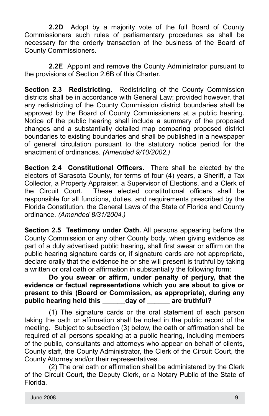**2.2D** Adopt by a majority vote of the full Board of County Commissioners such rules of parliamentary procedures as shall be necessary for the orderly transaction of the business of the Board of County Commissioners.

**2.2E** Appoint and remove the County Administrator pursuant to the provisions of Section 2.6B of this Charter.

**Section 2.3 Redistricting.** Redistricting of the County Commission districts shall be in accordance with General Law; provided however, that any redistricting of the County Commission district boundaries shall be approved by the Board of County Commissioners at a public hearing. Notice of the public hearing shall include a summary of the proposed changes and a substantially detailed map comparing proposed district boundaries to existing boundaries and shall be published in a newspaper of general circulation pursuant to the statutory notice period for the enactment of ordinances. *(Amended 9/10/2002.)*

**Section 2.4 Constitutional Officers.** There shall be elected by the electors of Sarasota County, for terms of four (4) years, a Sheriff, a Tax Collector, a Property Appraiser, a Supervisor of Elections, and a Clerk of the Circuit Court. These elected constitutional officers shall be responsible for all functions, duties, and requirements prescribed by the Florida Constitution, the General Laws of the State of Florida and County ordinance. *(Amended 8/31/2004.)*

**Section 2.5 Testimony under Oath.** All persons appearing before the County Commission or any other County body, when giving evidence as part of a duly advertised public hearing, shall first swear or affirm on the public hearing signature cards or, if signature cards are not appropriate, declare orally that the evidence he or she will present is truthful by taking a written or oral oath or affirmation in substantially the following form:

#### **Do you swear or affirm, under penalty of perjury, that the evidence or factual representations which you are about to give or present to this (Board or Commission, as appropriate), during any public hearing held this \_\_\_\_\_\_day of \_\_\_\_\_\_ are truthful?**

(1) The signature cards or the oral statement of each person taking the oath or affirmation shall be noted in the public record of the meeting. Subject to subsection (3) below, the oath or affirmation shall be required of all persons speaking at a public hearing, including members of the public, consultants and attorneys who appear on behalf of clients, County staff, the County Administrator, the Clerk of the Circuit Court, the County Attorney and/or their representatives.

(2) The oral oath or affirmation shall be administered by the Clerk of the Circuit Court, the Deputy Clerk, or a Notary Public of the State of Florida.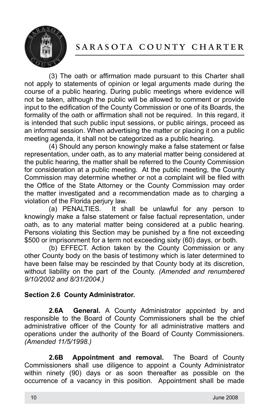

# sarasota county charter

(3) The oath or affirmation made pursuant to this Charter shall not apply to statements of opinion or legal arguments made during the course of a public hearing. During public meetings where evidence will not be taken, although the public will be allowed to comment or provide input to the edification of the County Commission or one of its Boards, the formality of the oath or affirmation shall not be required. In this regard, it is intended that such public input sessions, or public airings, proceed as an informal session. When advertising the matter or placing it on a public meeting agenda, it shall not be categorized as a public hearing.

(4) Should any person knowingly make a false statement or false representation, under oath, as to any material matter being considered at the public hearing, the matter shall be referred to the County Commission for consideration at a public meeting. At the public meeting, the County Commission may determine whether or not a complaint will be filed with the Office of the State Attorney or the County Commission may order the matter investigated and a recommendation made as to charging a violation of the Florida perjury law.

(a) PENALTIES. It shall be unlawful for any person to knowingly make a false statement or false factual representation, under oath, as to any material matter being considered at a public hearing. Persons violating this Section may be punished by a fine not exceeding \$500 or imprisonment for a term not exceeding sixty (60) days, or both.

(b) EFFECT. Action taken by the County Commission or any other County body on the basis of testimony which is later determined to have been false may be rescinded by that County body at its discretion, without liability on the part of the County. *(Amended and renumbered 9/10/2002 and 8/31/2004.)*

#### **Section 2.6 County Administrator.**

**2.6A General.** A County Administrator appointed by and responsible to the Board of County Commissioners shall be the chief administrative officer of the County for all administrative matters and operations under the authority of the Board of County Commissioners. *(Amended 11/5/1998.)*

**2.6B Appointment and removal.** The Board of County Commissioners shall use diligence to appoint a County Administrator within ninety (90) days or as soon thereafter as possible on the occurrence of a vacancy in this position. Appointment shall be made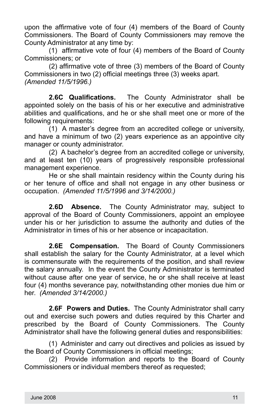upon the affirmative vote of four (4) members of the Board of County Commissioners. The Board of County Commissioners may remove the County Administrator at any time by:

(1) affirmative vote of four (4) members of the Board of County Commissioners; or

(2) affirmative vote of three (3) members of the Board of County Commissioners in two (2) official meetings three (3) weeks apart. *(Amended 11/5/1996.)*

**2.6C Qualifications.** The County Administrator shall be appointed solely on the basis of his or her executive and administrative abilities and qualifications, and he or she shall meet one or more of the following requirements:

(1) A master's degree from an accredited college or university, and have a minimum of two (2) years experience as an appointive city manager or county administrator.

(2) A bachelor's degree from an accredited college or university, and at least ten (10) years of progressively responsible professional management experience.

He or she shall maintain residency within the County during his or her tenure of office and shall not engage in any other business or occupation. *(Amended 11/5/1996 and 3/14/2000.)*

**2.6D Absence.** The County Administrator may, subject to approval of the Board of County Commissioners, appoint an employee under his or her jurisdiction to assume the authority and duties of the Administrator in times of his or her absence or incapacitation.

**2.6E Compensation.** The Board of County Commissioners shall establish the salary for the County Administrator, at a level which is commensurate with the requirements of the position, and shall review the salary annually. In the event the County Administrator is terminated without cause after one year of service, he or she shall receive at least four (4) months severance pay, notwithstanding other monies due him or her. *(Amended 3/14/2000.)*

**2.6F Powers and Duties.** The County Administrator shall carry out and exercise such powers and duties required by this Charter and prescribed by the Board of County Commissioners. The County Administrator shall have the following general duties and responsibilities:

(1) Administer and carry out directives and policies as issued by the Board of County Commissioners in official meetings;

(2) Provide information and reports to the Board of County Commissioners or individual members thereof as requested;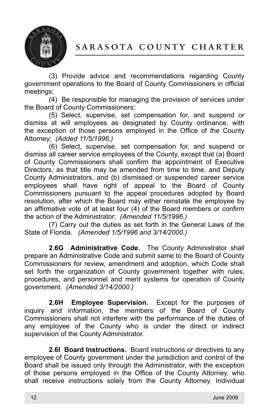

(3) Provide advice and recommendations regarding County government operations to the Board of County Commissioners in official meetings;

(4) Be responsible for managing the provision of services under the Board of County Commissioners;

(5) Select, supervise, set compensation for, and suspend or dismiss at will employees as designated by County ordinance, with the exception of those persons employed in the Office of the County Attorney; *(Added 11/5/1996.)*

(6) Select, supervise, set compensation for, and suspend or dismiss all career service employees of the County, except that (a) Board of County Commissioners shall confirm the appointment of Executive Directors, as that title may be amended from time to time, and Deputy County Administrators, and (b) dismissed or suspended career service employees shall have right of appeal to the Board of County Commissioners pursuant to the appeal procedures adopted by Board resolution, after which the Board may either reinstate the employee by an affirmative vote of at least four (4) of the Board members or confirm the action of the Administrator; *(Amended 11/5/1996.)*

(7) Carry out the duties as set forth in the General Laws of the State of Florida. *(Amended 1/5/1996 and 3/14/2000.)*

**2.6G Administrative Code.** The County Administrator shall prepare an Administrative Code and submit same to the Board of County Commissioners for review, amendment and adoption, which Code shall set forth the organization of County government together with rules, procedures, and personnel and merit systems for operation of County government. *(Amended 3/14/2000.)*

**2.6H Employee Supervision.** Except for the purposes of inquiry and information, the members of the Board of County Commissioners shall not interfere with the performance of the duties of any employee of the County who is under the direct or indirect supervision of the County Administrator.

**2.6I Board Instructions.** Board instructions or directives to any employee of County government under the jurisdiction and control of the Board shall be issued only through the Administrator, with the exception of those persons employed in the Office of the County Attorney, who shall receive instructions solely from the County Attorney. Individual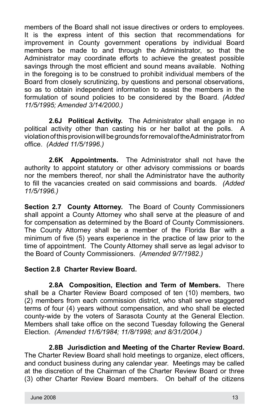members of the Board shall not issue directives or orders to employees. It is the express intent of this section that recommendations for improvement in County government operations by individual Board members be made to and through the Administrator, so that the Administrator may coordinate efforts to achieve the greatest possible savings through the most efficient and sound means available. Nothing in the foregoing is to be construed to prohibit individual members of the Board from closely scrutinizing, by questions and personal observations, so as to obtain independent information to assist the members in the formulation of sound policies to be considered by the Board. *(Added 11/5/1995; Amended 3/14/2000.)*

**2.6J Political Activity.** The Administrator shall engage in no political activity other than casting his or her ballot at the polls. violation of this provision will be grounds for removal of the Administrator from office. *(Added 11/5/1996.)*

**2.6K Appointments.** The Administrator shall not have the authority to appoint statutory or other advisory commissions or boards nor the members thereof, nor shall the Administrator have the authority to fill the vacancies created on said commissions and boards. *(Added 11/5/1996.)*

**Section 2.7 County Attorney.** The Board of County Commissioners shall appoint a County Attorney who shall serve at the pleasure of and for compensation as determined by the Board of County Commissioners. The County Attorney shall be a member of the Florida Bar with a minimum of five (5) years experience in the practice of law prior to the time of appointment. The County Attorney shall serve as legal advisor to the Board of County Commissioners. *(Amended 9/7/1982.)*

#### **Section 2.8 Charter Review Board.**

**2.8A Composition, Election and Term of Members.** There shall be a Charter Review Board composed of ten (10) members, two (2) members from each commission district, who shall serve staggered terms of four (4) years without compensation, and who shall be elected county-wide by the voters of Sarasota County at the General Election. Members shall take office on the second Tuesday following the General Election. *(Amended 11/6/1984; 11/8/1998; and 8/31/2004.)*

**2.8B Jurisdiction and Meeting of the Charter Review Board.**  The Charter Review Board shall hold meetings to organize, elect officers, and conduct business during any calendar year. Meetings may be called at the discretion of the Chairman of the Charter Review Board or three (3) other Charter Review Board members. On behalf of the citizens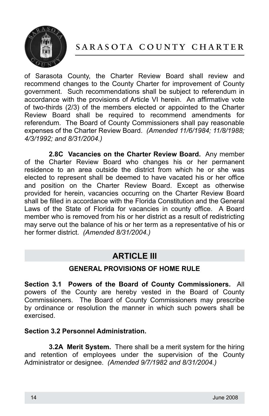

# sarasota county charter

of Sarasota County, the Charter Review Board shall review and recommend changes to the County Charter for improvement of County government. Such recommendations shall be subject to referendum in accordance with the provisions of Article VI herein. An affirmative vote of two-thirds (2/3) of the members elected or appointed to the Charter Review Board shall be required to recommend amendments for referendum. The Board of County Commissioners shall pay reasonable expenses of the Charter Review Board. *(Amended 11/6/1984; 11/8/1988; 4/3/1992; and 8/31/2004.)*

**2.8C Vacancies on the Charter Review Board.** Any member of the Charter Review Board who changes his or her permanent residence to an area outside the district from which he or she was elected to represent shall be deemed to have vacated his or her office and position on the Charter Review Board. Except as otherwise provided for herein, vacancies occurring on the Charter Review Board shall be filled in accordance with the Florida Constitution and the General Laws of the State of Florida for vacancies in county office. A Board member who is removed from his or her district as a result of redistricting may serve out the balance of his or her term as a representative of his or her former district. *(Amended 8/31/2004.)*

### **ARTICLE III**

#### **GENERAL PROVISIONS OF HOME RULE**

**Section 3.1 Powers of the Board of County Commissioners.** All powers of the County are hereby vested in the Board of County Commissioners. The Board of County Commissioners may prescribe by ordinance or resolution the manner in which such powers shall be exercised.

#### **Section 3.2 Personnel Administration.**

**3.2A Merit System.** There shall be a merit system for the hiring and retention of employees under the supervision of the County Administrator or designee. *(Amended 9/7/1982 and 8/31/2004.)*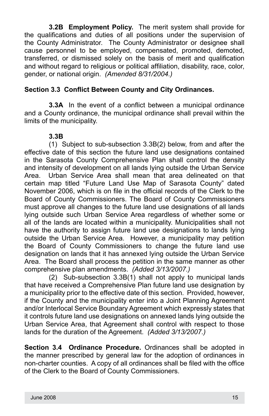**3.2B Employment Policy.** The merit system shall provide for the qualifications and duties of all positions under the supervision of the County Administrator. The County Administrator or designee shall cause personnel to be employed, compensated, promoted, demoted, transferred, or dismissed solely on the basis of merit and qualification and without regard to religious or political affiliation, disability, race, color, gender, or national origin. *(Amended 8/31/2004.)*

#### **Section 3.3 Conflict Between County and City Ordinances.**

**3.3A** In the event of a conflict between a municipal ordinance and a County ordinance, the municipal ordinance shall prevail within the limits of the municipality.

#### **3.3B**

(1) Subject to sub-subsection 3.3B(2) below, from and after the effective date of this section the future land use designations contained in the Sarasota County Comprehensive Plan shall control the density and intensity of development on all lands lying outside the Urban Service Area. Urban Service Area shall mean that area delineated on that certain map titled "Future Land Use Map of Sarasota County" dated November 2006, which is on file in the official records of the Clerk to the Board of County Commissioners. The Board of County Commissioners must approve all changes to the future land use designations of all lands lying outside such Urban Service Area regardless of whether some or all of the lands are located within a municipality. Municipalities shall not have the authority to assign future land use designations to lands lying outside the Urban Service Area. However, a municipality may petition the Board of County Commissioners to change the future land use designation on lands that it has annexed lying outside the Urban Service Area. The Board shall process the petition in the same manner as other comprehensive plan amendments. *(Added 3/13/2007.)*

(2) Sub-subsection 3.3B(1) shall not apply to municipal lands that have received a Comprehensive Plan future land use designation by a municipality prior to the effective date of this section. Provided, however, if the County and the municipality enter into a Joint Planning Agreement and/or Interlocal Service Boundary Agreement which expressly states that it controls future land use designations on annexed lands lying outside the Urban Service Area, that Agreement shall control with respect to those lands for the duration of the Agreement. *(Added 3/13/2007.)*

**Section 3.4 Ordinance Procedure.** Ordinances shall be adopted in the manner prescribed by general law for the adoption of ordinances in non-charter counties. A copy of all ordinances shall be filed with the office of the Clerk to the Board of County Commissioners.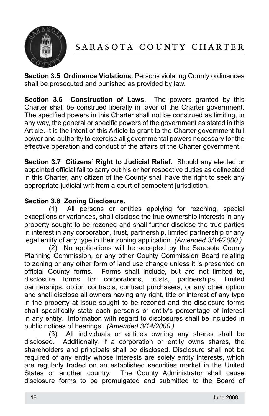

**Section 3.5 Ordinance Violations.** Persons violating County ordinances shall be prosecuted and punished as provided by law.

**Section 3.6 Construction of Laws.** The powers granted by this Charter shall be construed liberally in favor of the Charter government. The specified powers in this Charter shall not be construed as limiting, in any way, the general or specific powers of the government as stated in this Article. It is the intent of this Article to grant to the Charter government full power and authority to exercise all governmental powers necessary for the effective operation and conduct of the affairs of the Charter government.

**Section 3.7 Citizens' Right to Judicial Relief.** Should any elected or appointed official fail to carry out his or her respective duties as delineated in this Charter, any citizen of the County shall have the right to seek any appropriate judicial writ from a court of competent jurisdiction.

#### **Section 3.8 Zoning Disclosure.**

(1) All persons or entities applying for rezoning, special exceptions or variances, shall disclose the true ownership interests in any property sought to be rezoned and shall further disclose the true parties in interest in any corporation, trust, partnership, limited partnership or any legal entity of any type in their zoning application. *(Amended 3/14/2000.)*

(2) No applications will be accepted by the Sarasota County Planning Commission, or any other County Commission Board relating to zoning or any other form of land use change unless it is presented on official County forms. Forms shall include, but are not limited to, disclosure forms for corporations, trusts, partnerships, limited partnerships, option contracts, contract purchasers, or any other option and shall disclose all owners having any right, title or interest of any type in the property at issue sought to be rezoned and the disclosure forms shall specifically state each person's or entity's percentage of interest in any entity. Information with regard to disclosures shall be included in public notices of hearings. *(Amended 3/14/2000.)*

(3) All individuals or entities owning any shares shall be disclosed. Additionally, if a corporation or entity owns shares, the shareholders and principals shall be disclosed. Disclosure shall not be required of any entity whose interests are solely entity interests, which are regularly traded on an established securities market in the United States or another country. The County Administrator shall cause disclosure forms to be promulgated and submitted to the Board of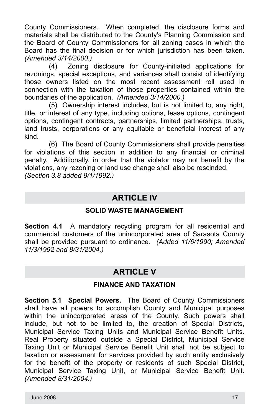County Commissioners. When completed, the disclosure forms and materials shall be distributed to the County's Planning Commission and the Board of County Commissioners for all zoning cases in which the Board has the final decision or for which jurisdiction has been taken. *(Amended 3/14/2000.)*

(4) Zoning disclosure for County-initiated applications for rezonings, special exceptions, and variances shall consist of identifying those owners listed on the most recent assessment roll used in connection with the taxation of those properties contained within the boundaries of the application. *(Amended 3/14/2000.)*

(5) Ownership interest includes, but is not limited to, any right, title, or interest of any type, including options, lease options, contingent options, contingent contracts, partnerships, limited partnerships, trusts, land trusts, corporations or any equitable or beneficial interest of any kind.

(6) The Board of County Commissioners shall provide penalties for violations of this section in addition to any financial or criminal penalty. Additionally, in order that the violator may not benefit by the violations, any rezoning or land use change shall also be rescinded. *(Section 3.8 added 9/1/1992.)*

## **ARTICLE IV**

#### **SOLID WASTE MANAGEMENT**

**Section 4.1** A mandatory recycling program for all residential and commercial customers of the unincorporated area of Sarasota County shall be provided pursuant to ordinance. *(Added 11/6/1990; Amended 11/3/1992 and 8/31/2004.)*

# **ARTICLE V**

#### **FINANCE AND TAXATION**

**Section 5.1 Special Powers.** The Board of County Commissioners shall have all powers to accomplish County and Municipal purposes within the unincorporated areas of the County. Such powers shall include, but not to be limited to, the creation of Special Districts, Municipal Service Taxing Units and Municipal Service Benefit Units. Real Property situated outside a Special District, Municipal Service Taxing Unit or Municipal Service Benefit Unit shall not be subject to taxation or assessment for services provided by such entity exclusively for the benefit of the property or residents of such Special District, Municipal Service Taxing Unit, or Municipal Service Benefit Unit. *(Amended 8/31/2004.)*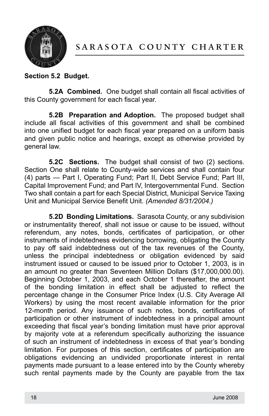

#### **Section 5.2 Budget.**

**5.2A Combined.** One budget shall contain all fiscal activities of this County government for each fiscal year.

**5.2B Preparation and Adoption.** The proposed budget shall include all fiscal activities of this government and shall be combined into one unified budget for each fiscal year prepared on a uniform basis and given public notice and hearings, except as otherwise provided by general law.

**5.2C Sections.** The budget shall consist of two (2) sections. Section One shall relate to County-wide services and shall contain four (4) parts — Part I, Operating Fund; Part II, Debt Service Fund; Part III, Capital Improvement Fund; and Part IV, Intergovernmental Fund. Section Two shall contain a part for each Special District, Municipal Service Taxing Unit and Municipal Service Benefit Unit. *(Amended 8/31/2004.)*

**5.2D Bonding Limitations.** Sarasota County, or any subdivision or instrumentality thereof, shall not issue or cause to be issued, without referendum, any notes, bonds, certificates of participation, or other instruments of indebtedness evidencing borrowing, obligating the County to pay off said indebtedness out of the tax revenues of the County, unless the principal indebtedness or obligation evidenced by said instrument issued or caused to be issued prior to October 1, 2003, is in an amount no greater than Seventeen Million Dollars (\$17,000,000.00). Beginning October 1, 2003, and each October 1 thereafter, the amount of the bonding limitation in effect shall be adjusted to reflect the percentage change in the Consumer Price Index (U.S. City Average All Workers) by using the most recent available information for the prior 12-month period. Any issuance of such notes, bonds, certificates of participation or other instrument of indebtedness in a principal amount exceeding that fiscal year's bonding limitation must have prior approval by majority vote at a referendum specifically authorizing the issuance of such an instrument of indebtedness in excess of that year's bonding limitation. For purposes of this section, certificates of participation are obligations evidencing an undivided proportionate interest in rental payments made pursuant to a lease entered into by the County whereby such rental payments made by the County are payable from the tax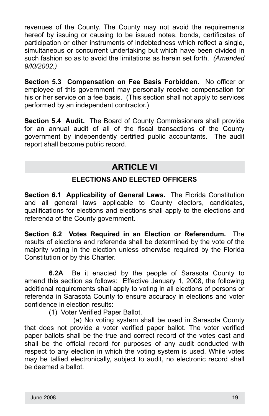revenues of the County. The County may not avoid the requirements hereof by issuing or causing to be issued notes, bonds, certificates of participation or other instruments of indebtedness which reflect a single, simultaneous or concurrent undertaking but which have been divided in such fashion so as to avoid the limitations as herein set forth. *(Amended 9/I0/2002.)*

**Section 5.3 Compensation on Fee Basis Forbidden.** No officer or employee of this government may personally receive compensation for his or her service on a fee basis. (This section shall not apply to services performed by an independent contractor.)

**Section 5.4 Audit.** The Board of County Commissioners shall provide for an annual audit of all of the fiscal transactions of the County government by independently certified public accountants. The audit report shall become public record.

# **ARTICLE VI**

#### **ELECTIONS AND ELECTED OFFICERS**

**Section 6.1 Applicability of General Laws.** The Florida Constitution and all general laws applicable to County electors, candidates, qualifications for elections and elections shall apply to the elections and referenda of the County government.

**Section 6.2 Votes Required in an Election or Referendum.** The results of elections and referenda shall be determined by the vote of the majority voting in the election unless otherwise required by the Florida Constitution or by this Charter.

**6.2A** Be it enacted by the people of Sarasota County to amend this section as follows: Effective January 1, 2008, the following additional requirements shall apply to voting in all elections of persons or referenda in Sarasota County to ensure accuracy in elections and voter confidence in election results:

(1) Voter Verified Paper Ballot.

(a) No voting system shall be used in Sarasota County that does not provide a voter verified paper ballot. The voter verified paper ballots shall be the true and correct record of the votes cast and shall be the official record for purposes of any audit conducted with respect to any election in which the voting system is used. While votes may be tallied electronically, subject to audit, no electronic record shall be deemed a ballot.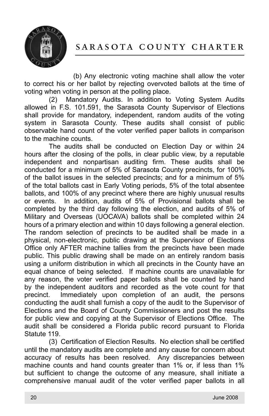



(b) Any electronic voting machine shall allow the voter to correct his or her ballot by rejecting overvoted ballots at the time of voting when voting in person at the polling place.

(2) Mandatory Audits. In addition to Voting System Audits allowed in F.S. 101.591, the Sarasota County Supervisor of Elections shall provide for mandatory, independent, random audits of the voting system in Sarasota County. These audits shall consist of public observable hand count of the voter verified paper ballots in comparison to the machine counts.

The audits shall be conducted on Election Day or within 24 hours after the closing of the polls, in clear public view, by a reputable independent and nonpartisan auditing firm. These audits shall be conducted for a minimum of 5% of Sarasota County precincts, for 100% of the ballot issues in the selected precincts; and for a minimum of 5% of the total ballots cast in Early Voting periods, 5% of the total absentee ballots, and 100% of any precinct where there are highly unusual results or events. In addition, audits of 5% of Provisional ballots shall be completed by the third day following the election, and audits of 5% of Military and Overseas (UOCAVA) ballots shall be completed within 24 hours of a primary election and within 10 days following a general election. The random selection of precincts to be audited shall be made in a physical, non-electronic, public drawing at the Supervisor of Elections Office only AFTER machine tallies from the precincts have been made public. This public drawing shall be made on an entirely random basis using a uniform distribution in which all precincts in the County have an equal chance of being selected. If machine counts are unavailable for any reason, the voter verified paper ballots shall be counted by hand by the independent auditors and recorded as the vote count for that precinct. Immediately upon completion of an audit, the persons conducting the audit shall furnish a copy of the audit to the Supervisor of Elections and the Board of County Commissioners and post the results for public view and copying at the Supervisor of Elections Office. The audit shall be considered a Florida public record pursuant to Florida Statute 119.

(3) Certification of Election Results. No election shall be certified until the mandatory audits are complete and any cause for concern about accuracy of results has been resolved. Any discrepancies between machine counts and hand counts greater than 1% or, if less than 1% but sufficient to change the outcome of any measure, shall initiate a comprehensive manual audit of the voter verified paper ballots in all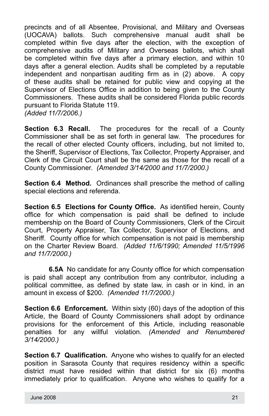precincts and of all Absentee, Provisional, and Military and Overseas (UOCAVA) ballots. Such comprehensive manual audit shall be completed within five days after the election, with the exception of comprehensive audits of Military and Overseas ballots, which shall be completed within five days after a primary election, and within 10 days after a general election. Audits shall be completed by a reputable independent and nonpartisan auditing firm as in (2) above. A copy of these audits shall be retained for public view and copying at the Supervisor of Elections Office in addition to being given to the County Commissioners. These audits shall be considered Florida public records pursuant to Florida Statute 119. *(Added 11/7/2006.)*

**Section 6.3 Recall.** The procedures for the recall of a County Commissioner shall be as set forth in general law. The procedures for the recall of other elected County officers, including, but not limited to, the Sheriff, Supervisor of Elections, Tax Collector, Property Appraiser, and Clerk of the Circuit Court shall be the same as those for the recall of a County Commissioner. *(Amended 3/14/2000 and 11/7/2000.)*

**Section 6.4 Method.** Ordinances shall prescribe the method of calling special elections and referenda.

**Section 6.5 Elections for County Office.** As identified herein, County office for which compensation is paid shall be defined to include membership on the Board of County Commissioners, Clerk of the Circuit Court, Property Appraiser, Tax Collector, Supervisor of Elections, and Sheriff. County office for which compensation is not paid is membership on the Charter Review Board. *(Added 11/6/1990; Amended 11/5/1996 and 11/7/2000.)*

**6.5A** No candidate for any County office for which compensation is paid shall accept any contribution from any contributor, including a political committee, as defined by state law, in cash or in kind, in an amount in excess of \$200. *(Amended 11/7/2000.)*

**Section 6.6 Enforcement.** Within sixty (60) days of the adoption of this Article, the Board of County Commissioners shall adopt by ordinance provisions for the enforcement of this Article, including reasonable penalties for any willful violation. *(Amended and Renumbered 3/14/2000.)*

**Section 6.7 Qualification.** Anyone who wishes to qualify for an elected position in Sarasota County that requires residency within a specific district must have resided within that district for six (6) months immediately prior to qualification. Anyone who wishes to qualify for a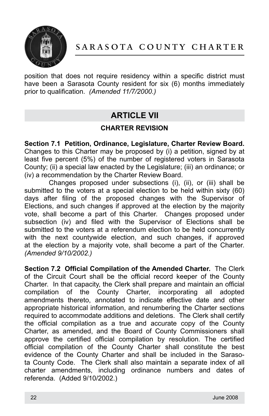

position that does not require residency within a specific district must have been a Sarasota County resident for six (6) months immediately prior to qualification. *(Amended 11/7/2000.)*

# **ARTICLE VII**

#### **CHARTER REVISION**

**Section 7.1 Petition, Ordinance, Legislature, Charter Review Board.**  Changes to this Charter may be proposed by (i) a petition, signed by at least five percent (5%) of the number of registered voters in Sarasota County; (ii) a special law enacted by the Legislature; (iii) an ordinance; or (iv) a recommendation by the Charter Review Board.

Changes proposed under subsections (i), (ii), or (iii) shall be submitted to the voters at a special election to be held within sixty (60) days after filing of the proposed changes with the Supervisor of Elections, and such changes if approved at the election by the majority vote, shall become a part of this Charter. Changes proposed under subsection (iv) and filed with the Supervisor of Elections shall be submitted to the voters at a referendum election to be held concurrently with the next countywide election, and such changes, if approved at the election by a majority vote, shall become a part of the Charter. *(Amended 9/10/2002.)*

**Section 7.2 Official Compilation of the Amended Charter.** The Clerk of the Circuit Court shall be the official record keeper of the County Charter. In that capacity, the Clerk shall prepare and maintain an official compilation of the County Charter, incorporating all adopted amendments thereto, annotated to indicate effective date and other appropriate historical information, and renumbering the Charter sections required to accommodate additions and deletions. The Clerk shall certify the official compilation as a true and accurate copy of the County Charter, as amended, and the Board of County Commissioners shall approve the certified official compilation by resolution. The certified official compilation of the County Charter shall constitute the best evidence of the County Charter and shall be included in the Sarasota County Code. The Clerk shall also maintain a separate index of all charter amendments, including ordinance numbers and dates of referenda. (Added 9/10/2002.)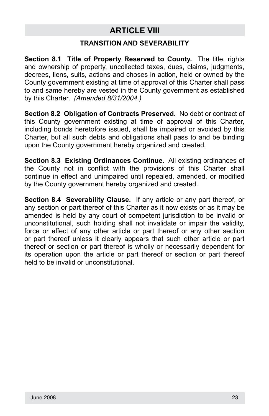# **ARTICLE VIII**

#### **TRANSITION AND SEVERABILITY**

**Section 8.1 Title of Property Reserved to County.** The title, rights and ownership of property, uncollected taxes, dues, claims, judgments, decrees, liens, suits, actions and choses in action, held or owned by the County government existing at time of approval of this Charter shall pass to and same hereby are vested in the County government as established by this Charter. *(Amended 8/31/2004.)*

**Section 8.2 Obligation of Contracts Preserved.** No debt or contract of this County government existing at time of approval of this Charter, including bonds heretofore issued, shall be impaired or avoided by this Charter, but all such debts and obligations shall pass to and be binding upon the County government hereby organized and created.

**Section 8.3 Existing Ordinances Continue.** All existing ordinances of the County not in conflict with the provisions of this Charter shall continue in effect and unimpaired until repealed, amended, or modified by the County government hereby organized and created.

**Section 8.4 Severability Clause.** If any article or any part thereof, or any section or part thereof of this Charter as it now exists or as it may be amended is held by any court of competent jurisdiction to be invalid or unconstitutional, such holding shall not invalidate or impair the validity, force or effect of any other article or part thereof or any other section or part thereof unless it clearly appears that such other article or part thereof or section or part thereof is wholly or necessarily dependent for its operation upon the article or part thereof or section or part thereof held to be invalid or unconstitutional.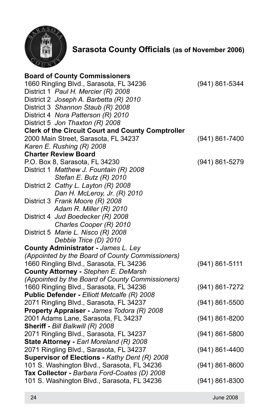

**Sarasota County Officials (as of November 2006)**

| <b>Board of County Commissioners</b>                     |                    |
|----------------------------------------------------------|--------------------|
| 1660 Ringling Blvd., Sarasota, FL 34236                  | (941) 861-5344     |
| District 1 Paul H. Mercier (R) 2008                      |                    |
| District 2 Joseph A. Barbetta (R) 2010                   |                    |
| District 3 Shannon Staub (R) 2008                        |                    |
| District 4 Nora Patterson (R) 2010                       |                    |
| District 5 Jon Thaxton (R) 2008                          |                    |
| <b>Clerk of the Circuit Court and County Comptroller</b> |                    |
| 2000 Main Street, Sarasota, FL 34237                     | (941) 861-7400     |
| Karen E. Rushing (R) 2008                                |                    |
| <b>Charter Review Board</b>                              |                    |
| P.O. Box 8, Sarasota, FL 34230                           | (941) 861-5279     |
| District 1 Matthew J. Fountain (R) 2008                  |                    |
| Stefan E. Butz (R) 2010                                  |                    |
| District 2 Cathy L. Layton (R) 2008                      |                    |
| Dan H. McLeroy, Jr. (R) 2010                             |                    |
| District 3 Frank Moore (R) 2008                          |                    |
| Adam R. Miller (R) 2010                                  |                    |
| District 4 Jud Boedecker (R) 2008                        |                    |
| Charles Cooper (R) 2010                                  |                    |
| District 5 Marie L. Nisco (R) 2008                       |                    |
| Debbie Trice (D) 2010                                    |                    |
| County Administrator - James L. Ley                      |                    |
| (Appointed by the Board of County Commissioners)         |                    |
| 1660 Ringling Blvd., Sarasota, FL 34236                  | $(941) 861 - 5111$ |
| County Attorney - Stephen E. DeMarsh                     |                    |
| (Appointed by the Board of County Commissioners)         |                    |
| 1660 Ringling Blvd., Sarasota, FL 34236                  | (941) 861-7272     |
| Public Defender - Elliott Metcalfe (R) 2008              |                    |
| 2071 Ringling Blvd., Sarasota, FL 34237                  | $(941) 861 - 5500$ |
| Property Appraiser - James Todora (R) 2008               |                    |
| 2001 Adams Lane, Sarasota, FL 34237                      | (941) 861-8200     |
| Sheriff - Bill Balkwill (R) 2008                         |                    |
| 2071 Ringling Blvd., Sarasota, FL 34237                  | $(941) 861 - 5800$ |
| State Attorney - Earl Moreland (R) 2008                  |                    |
| 2071 Ringling Blvd., Sarasota, FL 34237                  | $(941) 861 - 4400$ |
| Supervisor of Elections - Kathy Dent (R) 2008            |                    |
| 101 S. Washington Blvd., Sarasota, FL 34236              | $(941) 861 - 8600$ |
| Tax Collector - Barbara Ford-Coates (D) 2008             |                    |
| 101 S. Washington Blvd., Sarasota, FL 34236              | (941) 861-8300     |